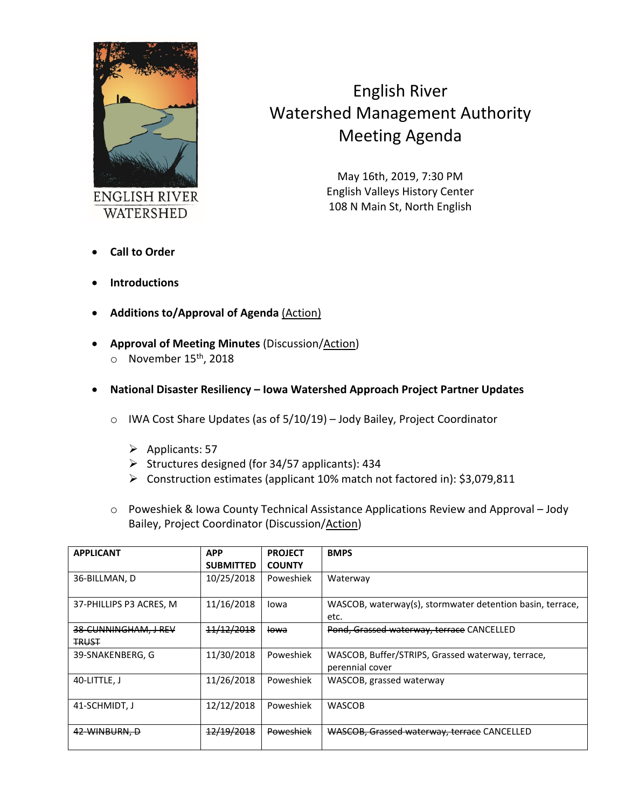

## English River Watershed Management Authority Meeting Agenda

May 16th, 2019, 7:30 PM English Valleys History Center 108 N Main St, North English

- **Call to Order**
- **Introductions**
- **Additions to/Approval of Agenda** (Action)
- **Approval of Meeting Minutes** (Discussion/Action)  $\circ$  November 15<sup>th</sup>, 2018
- **National Disaster Resiliency – Iowa Watershed Approach Project Partner Updates**
	- o IWA Cost Share Updates (as of 5/10/19) Jody Bailey, Project Coordinator
		- $\triangleright$  Applicants: 57
		- Structures designed (for 34/57 applicants): 434
		- Construction estimates (applicant 10% match not factored in): \$3,079,811
	- o Poweshiek & Iowa County Technical Assistance Applications Review and Approval Jody Bailey, Project Coordinator (Discussion/Action)

| <b>APPLICANT</b>                     | <b>APP</b>       | <b>PROJECT</b>  | <b>BMPS</b>                                                          |
|--------------------------------------|------------------|-----------------|----------------------------------------------------------------------|
|                                      | <b>SUBMITTED</b> | <b>COUNTY</b>   |                                                                      |
| 36-BILLMAN, D                        | 10/25/2018       | Poweshiek       | Waterway                                                             |
| 37-PHILLIPS P3 ACRES, M              | 11/16/2018       | Iowa            | WASCOB, waterway(s), stormwater detention basin, terrace,<br>etc.    |
| 38-CUNNINGHAM, J REV<br><b>TRUST</b> | 11/12/2018       | <del>lowa</del> | Pond, Grassed waterway, terrace CANCELLED                            |
| 39-SNAKENBERG, G                     | 11/30/2018       | Poweshiek       | WASCOB, Buffer/STRIPS, Grassed waterway, terrace,<br>perennial cover |
| 40-LITTLE, J                         | 11/26/2018       | Poweshiek       | WASCOB, grassed waterway                                             |
| 41-SCHMIDT. J                        | 12/12/2018       | Poweshiek       | <b>WASCOB</b>                                                        |
| 42-WINBURN, D                        | 12/19/2018       | Poweshiek       | WASCOB, Grassed waterway, terrace CANCELLED                          |